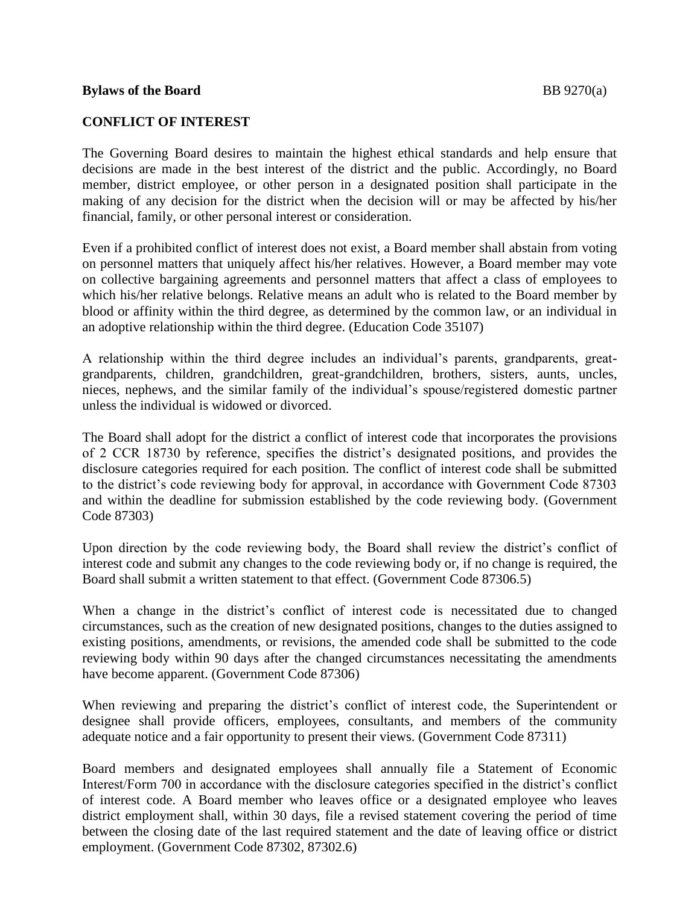#### **CONFLICT OF INTEREST**

The Governing Board desires to maintain the highest ethical standards and help ensure that decisions are made in the best interest of the district and the public. Accordingly, no Board member, district employee, or other person in a designated position shall participate in the making of any decision for the district when the decision will or may be affected by his/her financial, family, or other personal interest or consideration.

Even if a prohibited conflict of interest does not exist, a Board member shall abstain from voting on personnel matters that uniquely affect his/her relatives. However, a Board member may vote on collective bargaining agreements and personnel matters that affect a class of employees to which his/her relative belongs. Relative means an adult who is related to the Board member by blood or affinity within the third degree, as determined by the common law, or an individual in an adoptive relationship within the third degree. (Education Code 35107)

A relationship within the third degree includes an individual's parents, grandparents, greatgrandparents, children, grandchildren, great-grandchildren, brothers, sisters, aunts, uncles, nieces, nephews, and the similar family of the individual's spouse/registered domestic partner unless the individual is widowed or divorced.

The Board shall adopt for the district a conflict of interest code that incorporates the provisions of 2 CCR 18730 by reference, specifies the district's designated positions, and provides the disclosure categories required for each position. The conflict of interest code shall be submitted to the district's code reviewing body for approval, in accordance with Government Code 87303 and within the deadline for submission established by the code reviewing body. (Government Code 87303)

Upon direction by the code reviewing body, the Board shall review the district's conflict of interest code and submit any changes to the code reviewing body or, if no change is required, the Board shall submit a written statement to that effect. (Government Code 87306.5)

When a change in the district's conflict of interest code is necessitated due to changed circumstances, such as the creation of new designated positions, changes to the duties assigned to existing positions, amendments, or revisions, the amended code shall be submitted to the code reviewing body within 90 days after the changed circumstances necessitating the amendments have become apparent. (Government Code 87306)

When reviewing and preparing the district's conflict of interest code, the Superintendent or designee shall provide officers, employees, consultants, and members of the community adequate notice and a fair opportunity to present their views. (Government Code 87311)

Board members and designated employees shall annually file a Statement of Economic Interest/Form 700 in accordance with the disclosure categories specified in the district's conflict of interest code. A Board member who leaves office or a designated employee who leaves district employment shall, within 30 days, file a revised statement covering the period of time between the closing date of the last required statement and the date of leaving office or district employment. (Government Code 87302, 87302.6)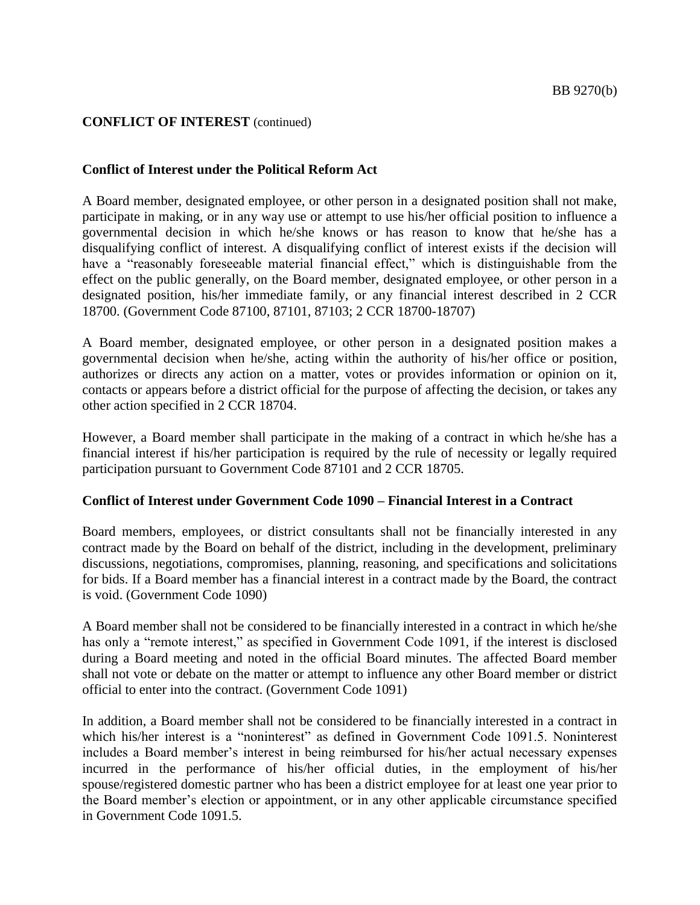#### **Conflict of Interest under the Political Reform Act**

A Board member, designated employee, or other person in a designated position shall not make, participate in making, or in any way use or attempt to use his/her official position to influence a governmental decision in which he/she knows or has reason to know that he/she has a disqualifying conflict of interest. A disqualifying conflict of interest exists if the decision will have a "reasonably foreseeable material financial effect," which is distinguishable from the effect on the public generally, on the Board member, designated employee, or other person in a designated position, his/her immediate family, or any financial interest described in 2 CCR 18700. (Government Code 87100, 87101, 87103; 2 CCR 18700-18707)

A Board member, designated employee, or other person in a designated position makes a governmental decision when he/she, acting within the authority of his/her office or position, authorizes or directs any action on a matter, votes or provides information or opinion on it, contacts or appears before a district official for the purpose of affecting the decision, or takes any other action specified in 2 CCR 18704.

However, a Board member shall participate in the making of a contract in which he/she has a financial interest if his/her participation is required by the rule of necessity or legally required participation pursuant to Government Code 87101 and 2 CCR 18705.

#### **Conflict of Interest under Government Code 1090 – Financial Interest in a Contract**

Board members, employees, or district consultants shall not be financially interested in any contract made by the Board on behalf of the district, including in the development, preliminary discussions, negotiations, compromises, planning, reasoning, and specifications and solicitations for bids. If a Board member has a financial interest in a contract made by the Board, the contract is void. (Government Code 1090)

A Board member shall not be considered to be financially interested in a contract in which he/she has only a "remote interest," as specified in Government Code 1091, if the interest is disclosed during a Board meeting and noted in the official Board minutes. The affected Board member shall not vote or debate on the matter or attempt to influence any other Board member or district official to enter into the contract. (Government Code 1091)

In addition, a Board member shall not be considered to be financially interested in a contract in which his/her interest is a "noninterest" as defined in Government Code 1091.5. Noninterest includes a Board member's interest in being reimbursed for his/her actual necessary expenses incurred in the performance of his/her official duties, in the employment of his/her spouse/registered domestic partner who has been a district employee for at least one year prior to the Board member's election or appointment, or in any other applicable circumstance specified in Government Code 1091.5.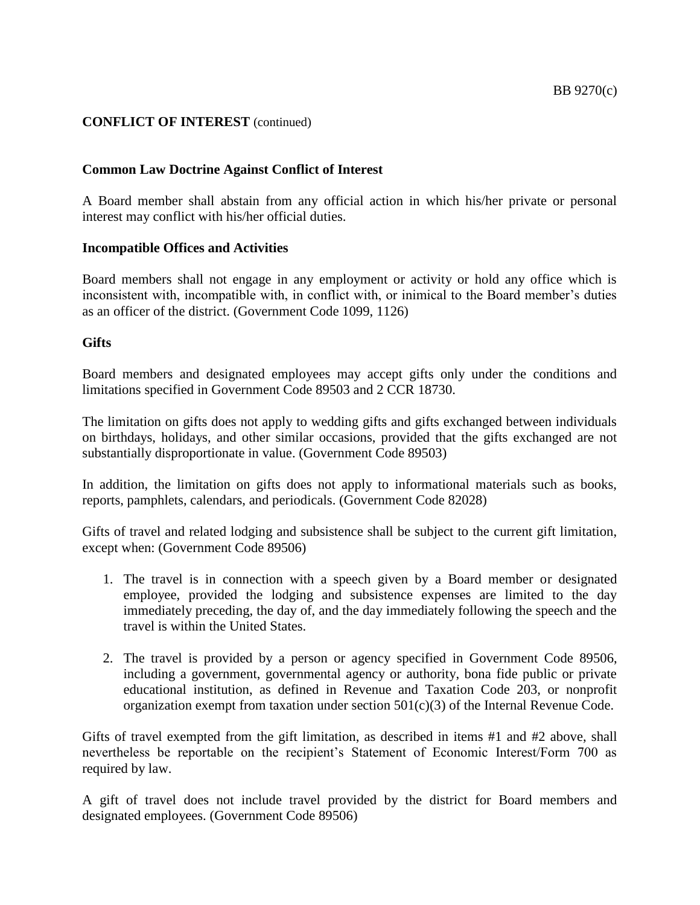#### **Common Law Doctrine Against Conflict of Interest**

A Board member shall abstain from any official action in which his/her private or personal interest may conflict with his/her official duties.

#### **Incompatible Offices and Activities**

Board members shall not engage in any employment or activity or hold any office which is inconsistent with, incompatible with, in conflict with, or inimical to the Board member's duties as an officer of the district. (Government Code 1099, 1126)

#### **Gifts**

Board members and designated employees may accept gifts only under the conditions and limitations specified in Government Code 89503 and 2 CCR 18730.

The limitation on gifts does not apply to wedding gifts and gifts exchanged between individuals on birthdays, holidays, and other similar occasions, provided that the gifts exchanged are not substantially disproportionate in value. (Government Code 89503)

In addition, the limitation on gifts does not apply to informational materials such as books, reports, pamphlets, calendars, and periodicals. (Government Code 82028)

Gifts of travel and related lodging and subsistence shall be subject to the current gift limitation, except when: (Government Code 89506)

- 1. The travel is in connection with a speech given by a Board member or designated employee, provided the lodging and subsistence expenses are limited to the day immediately preceding, the day of, and the day immediately following the speech and the travel is within the United States.
- 2. The travel is provided by a person or agency specified in Government Code 89506, including a government, governmental agency or authority, bona fide public or private educational institution, as defined in Revenue and Taxation Code 203, or nonprofit organization exempt from taxation under section  $501(c)(3)$  of the Internal Revenue Code.

Gifts of travel exempted from the gift limitation, as described in items #1 and #2 above, shall nevertheless be reportable on the recipient's Statement of Economic Interest/Form 700 as required by law.

A gift of travel does not include travel provided by the district for Board members and designated employees. (Government Code 89506)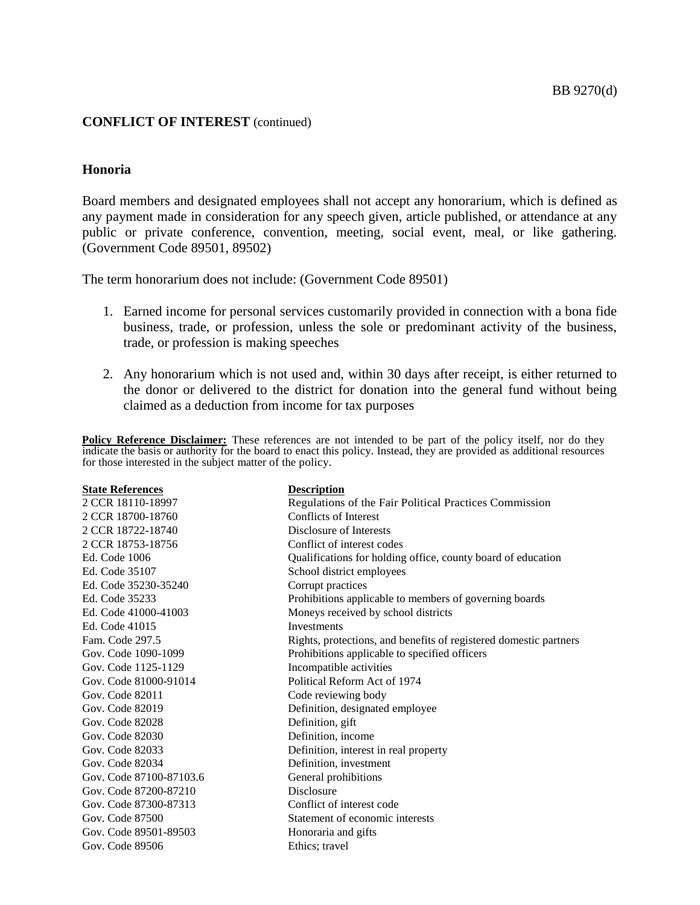#### **Honoria**

Board members and designated employees shall not accept any honorarium, which is defined as any payment made in consideration for any speech given, article published, or attendance at any public or private conference, convention, meeting, social event, meal, or like gathering. (Government Code 89501, 89502)

The term honorarium does not include: (Government Code 89501)

- 1. Earned income for personal services customarily provided in connection with a bona fide business, trade, or profession, unless the sole or predominant activity of the business, trade, or profession is making speeches
- 2. Any honorarium which is not used and, within 30 days after receipt, is either returned to the donor or delivered to the district for donation into the general fund without being claimed as a deduction from income for tax purposes

**Policy Reference Disclaimer:** These references are not intended to be part of the policy itself, nor do they indicate the basis or authority for the board to enact this policy. Instead, they are provided as additional resources for those interested in the subject matter of the policy.

| <b>State References</b> | <b>Description</b>                                                |
|-------------------------|-------------------------------------------------------------------|
| 2 CCR 18110-18997       | Regulations of the Fair Political Practices Commission            |
| 2 CCR 18700-18760       | <b>Conflicts of Interest</b>                                      |
| 2 CCR 18722-18740       | Disclosure of Interests                                           |
| 2 CCR 18753-18756       | Conflict of interest codes                                        |
| Ed. Code 1006           | Qualifications for holding office, county board of education      |
| Ed. Code 35107          | School district employees                                         |
| Ed. Code 35230-35240    | Corrupt practices                                                 |
| Ed. Code 35233          | Prohibitions applicable to members of governing boards            |
| Ed. Code 41000-41003    | Moneys received by school districts                               |
| Ed. Code 41015          | <b>Investments</b>                                                |
| Fam. Code 297.5         | Rights, protections, and benefits of registered domestic partners |
| Gov. Code 1090-1099     | Prohibitions applicable to specified officers                     |
| Gov. Code 1125-1129     | Incompatible activities                                           |
| Gov. Code 81000-91014   | Political Reform Act of 1974                                      |
| Gov. Code 82011         | Code reviewing body                                               |
| Gov. Code 82019         | Definition, designated employee                                   |
| Gov. Code 82028         | Definition, gift                                                  |
| Gov. Code 82030         | Definition, income                                                |
| Gov. Code 82033         | Definition, interest in real property                             |
| Gov. Code 82034         | Definition, investment                                            |
| Gov. Code 87100-87103.6 | General prohibitions                                              |
| Gov. Code 87200-87210   | <b>Disclosure</b>                                                 |
| Gov. Code 87300-87313   | Conflict of interest code                                         |
| Gov. Code 87500         | Statement of economic interests                                   |
| Gov. Code 89501-89503   | Honoraria and gifts                                               |
| Gov. Code 89506         | Ethics; travel                                                    |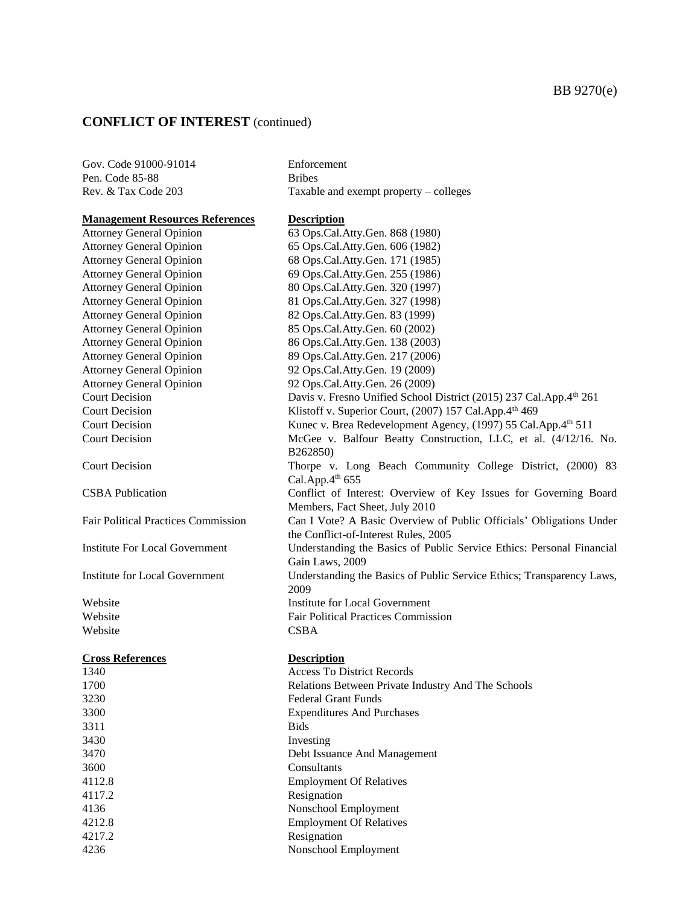| Gov. Code 91000-91014                      | Enforcement                                                           |
|--------------------------------------------|-----------------------------------------------------------------------|
| Pen. Code 85-88                            | <b>Bribes</b>                                                         |
| Rev. & Tax Code 203                        | Taxable and exempt property – colleges                                |
|                                            |                                                                       |
| <b>Management Resources References</b>     | <b>Description</b>                                                    |
| <b>Attorney General Opinion</b>            | 63 Ops.Cal.Atty.Gen. 868 (1980)                                       |
| <b>Attorney General Opinion</b>            | 65 Ops.Cal.Atty.Gen. 606 (1982)                                       |
| <b>Attorney General Opinion</b>            | 68 Ops.Cal.Atty.Gen. 171 (1985)                                       |
| <b>Attorney General Opinion</b>            | 69 Ops.Cal.Atty.Gen. 255 (1986)                                       |
| <b>Attorney General Opinion</b>            | 80 Ops.Cal.Atty.Gen. 320 (1997)                                       |
| <b>Attorney General Opinion</b>            | 81 Ops.Cal.Atty.Gen. 327 (1998)                                       |
| <b>Attorney General Opinion</b>            | 82 Ops.Cal.Atty.Gen. 83 (1999)                                        |
| <b>Attorney General Opinion</b>            | 85 Ops.Cal.Atty.Gen. 60 (2002)                                        |
| <b>Attorney General Opinion</b>            | 86 Ops.Cal.Atty.Gen. 138 (2003)                                       |
| <b>Attorney General Opinion</b>            | 89 Ops.Cal.Atty.Gen. 217 (2006)                                       |
| <b>Attorney General Opinion</b>            | 92 Ops.Cal.Atty.Gen. 19 (2009)                                        |
| <b>Attorney General Opinion</b>            | 92 Ops.Cal.Atty.Gen. 26 (2009)                                        |
| <b>Court Decision</b>                      | Davis v. Fresno Unified School District (2015) 237 Cal.App.4th 261    |
| <b>Court Decision</b>                      | Klistoff v. Superior Court, (2007) 157 Cal.App.4th 469                |
| <b>Court Decision</b>                      | Kunec v. Brea Redevelopment Agency, (1997) 55 Cal.App.4th 511         |
| <b>Court Decision</b>                      | McGee v. Balfour Beatty Construction, LLC, et al. (4/12/16. No.       |
|                                            | B262850)                                                              |
| <b>Court Decision</b>                      | Thorpe v. Long Beach Community College District, (2000) 83            |
|                                            | Cal.App. $4th$ 655                                                    |
| <b>CSBA</b> Publication                    | Conflict of Interest: Overview of Key Issues for Governing Board      |
|                                            | Members, Fact Sheet, July 2010                                        |
| <b>Fair Political Practices Commission</b> | Can I Vote? A Basic Overview of Public Officials' Obligations Under   |
|                                            | the Conflict-of-Interest Rules, 2005                                  |
| <b>Institute For Local Government</b>      | Understanding the Basics of Public Service Ethics: Personal Financial |
|                                            | Gain Laws, 2009                                                       |
| Institute for Local Government             | Understanding the Basics of Public Service Ethics; Transparency Laws, |
|                                            | 2009                                                                  |
| Website                                    | <b>Institute for Local Government</b>                                 |
| Website                                    | <b>Fair Political Practices Commission</b>                            |
| Website                                    | <b>CSBA</b>                                                           |
|                                            |                                                                       |
| <b>Cross References</b>                    | <b>Description</b>                                                    |
| 1340                                       | <b>Access To District Records</b>                                     |
| 1700                                       | Relations Between Private Industry And The Schools                    |
| 3230                                       | <b>Federal Grant Funds</b>                                            |
| 3300                                       | <b>Expenditures And Purchases</b>                                     |
| 3311                                       | <b>Bids</b>                                                           |
| 3430                                       | Investing                                                             |
| 3470                                       | Debt Issuance And Management                                          |
| 3600                                       | Consultants                                                           |
| 4112.8                                     | <b>Employment Of Relatives</b>                                        |
| 4117.2                                     | Resignation                                                           |
|                                            |                                                                       |

- 
- 4136 Nonschool Employment 4212.8 Employment Of Relatives
	-
- 4217.2 Resignation<br>4236 Nonschool E Nonschool Employment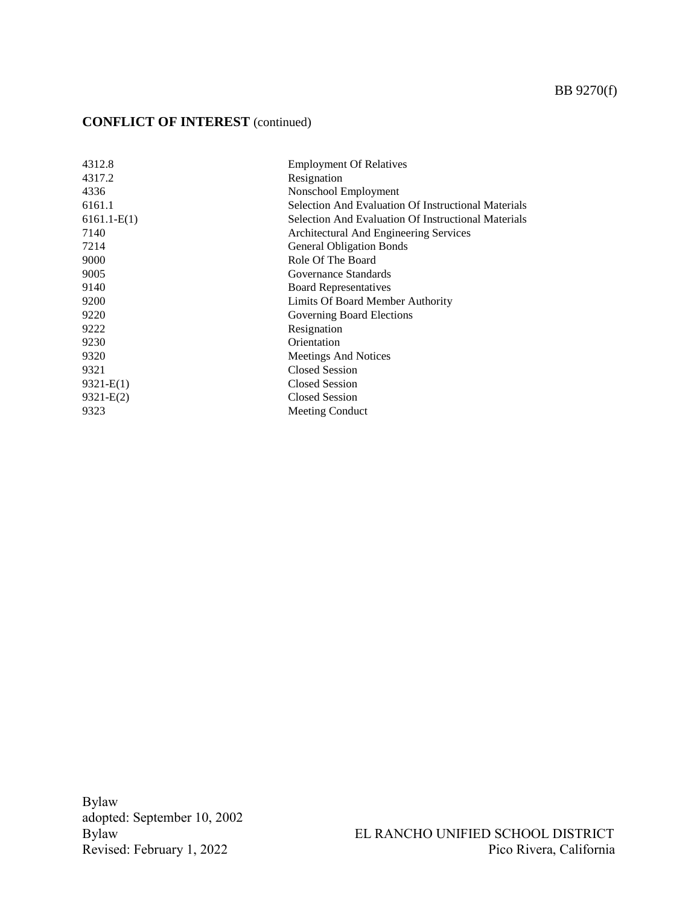# BB 9270(f)

# **CONFLICT OF INTEREST** (continued)

| 4312.8        | <b>Employment Of Relatives</b>                      |
|---------------|-----------------------------------------------------|
| 4317.2        | Resignation                                         |
| 4336          | Nonschool Employment                                |
| 6161.1        | Selection And Evaluation Of Instructional Materials |
| $6161.1-E(1)$ | Selection And Evaluation Of Instructional Materials |
| 7140          | Architectural And Engineering Services              |
| 7214          | <b>General Obligation Bonds</b>                     |
| 9000          | Role Of The Board                                   |
| 9005          | Governance Standards                                |
| 9140          | <b>Board Representatives</b>                        |
| 9200          | Limits Of Board Member Authority                    |
| 9220          | <b>Governing Board Elections</b>                    |
| 9222          | Resignation                                         |
| 9230          | Orientation                                         |
| 9320          | Meetings And Notices                                |
| 9321          | <b>Closed Session</b>                               |
| $9321-E(1)$   | <b>Closed Session</b>                               |
| $9321-E(2)$   | <b>Closed Session</b>                               |
| 9323          | Meeting Conduct                                     |

Bylaw adopted: September 10, 2002 Revised: February 1, 2022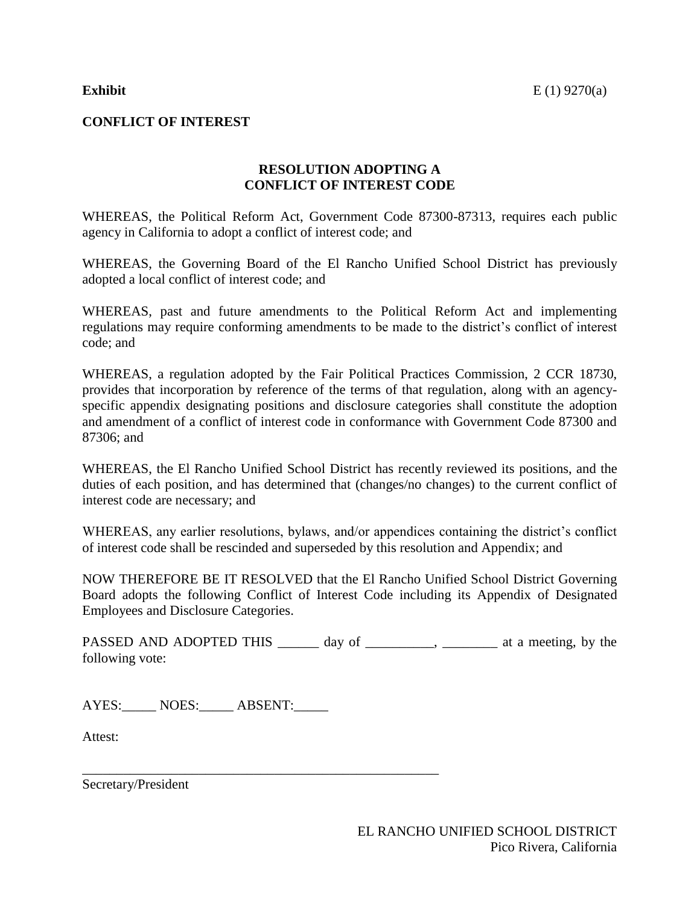#### **CONFLICT OF INTEREST**

#### **RESOLUTION ADOPTING A CONFLICT OF INTEREST CODE**

WHEREAS, the Political Reform Act, Government Code 87300-87313, requires each public agency in California to adopt a conflict of interest code; and

WHEREAS, the Governing Board of the El Rancho Unified School District has previously adopted a local conflict of interest code; and

WHEREAS, past and future amendments to the Political Reform Act and implementing regulations may require conforming amendments to be made to the district's conflict of interest code; and

WHEREAS, a regulation adopted by the Fair Political Practices Commission, 2 CCR 18730, provides that incorporation by reference of the terms of that regulation, along with an agencyspecific appendix designating positions and disclosure categories shall constitute the adoption and amendment of a conflict of interest code in conformance with Government Code 87300 and 87306; and

WHEREAS, the El Rancho Unified School District has recently reviewed its positions, and the duties of each position, and has determined that (changes/no changes) to the current conflict of interest code are necessary; and

WHEREAS, any earlier resolutions, bylaws, and/or appendices containing the district's conflict of interest code shall be rescinded and superseded by this resolution and Appendix; and

NOW THEREFORE BE IT RESOLVED that the El Rancho Unified School District Governing Board adopts the following Conflict of Interest Code including its Appendix of Designated Employees and Disclosure Categories.

PASSED AND ADOPTED THIS \_\_\_\_\_\_ day of \_\_\_\_\_\_\_\_\_, \_\_\_\_\_\_\_\_ at a meeting, by the following vote:

AYES: NOES: ABSENT:

\_\_\_\_\_\_\_\_\_\_\_\_\_\_\_\_\_\_\_\_\_\_\_\_\_\_\_\_\_\_\_\_\_\_\_\_\_\_\_\_\_\_\_\_\_\_\_\_\_\_\_\_

Attest:

Secretary/President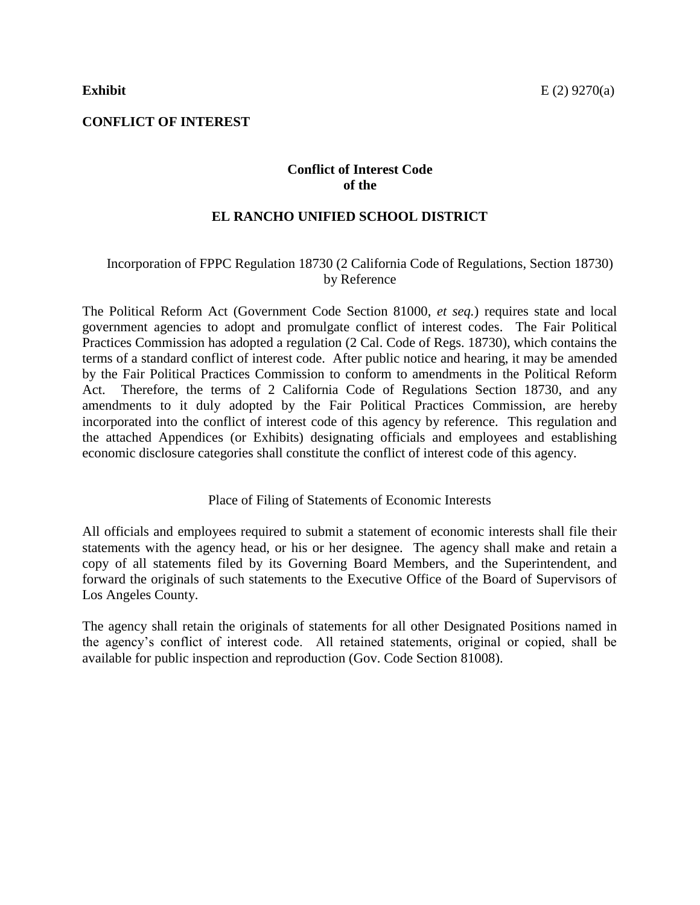### **Conflict of Interest Code of the**

### **EL RANCHO UNIFIED SCHOOL DISTRICT**

#### Incorporation of FPPC Regulation 18730 (2 California Code of Regulations, Section 18730) by Reference

The Political Reform Act (Government Code Section 81000, *et seq.*) requires state and local government agencies to adopt and promulgate conflict of interest codes. The Fair Political Practices Commission has adopted a regulation (2 Cal. Code of Regs. 18730), which contains the terms of a standard conflict of interest code. After public notice and hearing, it may be amended by the Fair Political Practices Commission to conform to amendments in the Political Reform Act. Therefore, the terms of 2 California Code of Regulations Section 18730, and any amendments to it duly adopted by the Fair Political Practices Commission, are hereby incorporated into the conflict of interest code of this agency by reference. This regulation and the attached Appendices (or Exhibits) designating officials and employees and establishing economic disclosure categories shall constitute the conflict of interest code of this agency.

Place of Filing of Statements of Economic Interests

All officials and employees required to submit a statement of economic interests shall file their statements with the agency head, or his or her designee. The agency shall make and retain a copy of all statements filed by its Governing Board Members, and the Superintendent, and forward the originals of such statements to the Executive Office of the Board of Supervisors of Los Angeles County.

The agency shall retain the originals of statements for all other Designated Positions named in the agency's conflict of interest code. All retained statements, original or copied, shall be available for public inspection and reproduction (Gov. Code Section 81008).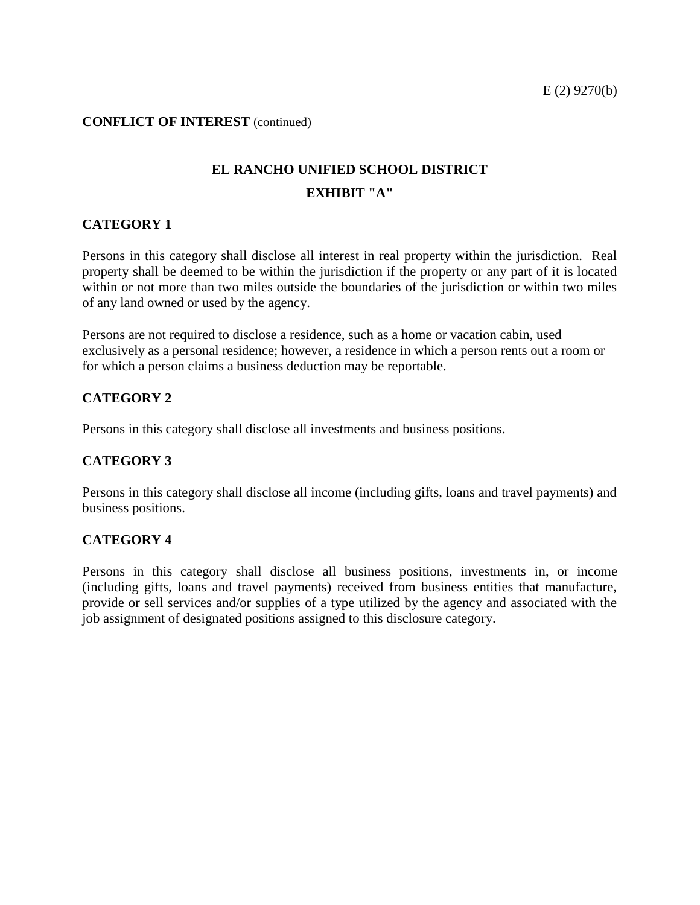# **EL RANCHO UNIFIED SCHOOL DISTRICT EXHIBIT "A"**

#### **CATEGORY 1**

Persons in this category shall disclose all interest in real property within the jurisdiction. Real property shall be deemed to be within the jurisdiction if the property or any part of it is located within or not more than two miles outside the boundaries of the jurisdiction or within two miles of any land owned or used by the agency.

Persons are not required to disclose a residence, such as a home or vacation cabin, used exclusively as a personal residence; however, a residence in which a person rents out a room or for which a person claims a business deduction may be reportable.

#### **CATEGORY 2**

Persons in this category shall disclose all investments and business positions.

#### **CATEGORY 3**

Persons in this category shall disclose all income (including gifts, loans and travel payments) and business positions.

#### **CATEGORY 4**

Persons in this category shall disclose all business positions, investments in, or income (including gifts, loans and travel payments) received from business entities that manufacture, provide or sell services and/or supplies of a type utilized by the agency and associated with the job assignment of designated positions assigned to this disclosure category.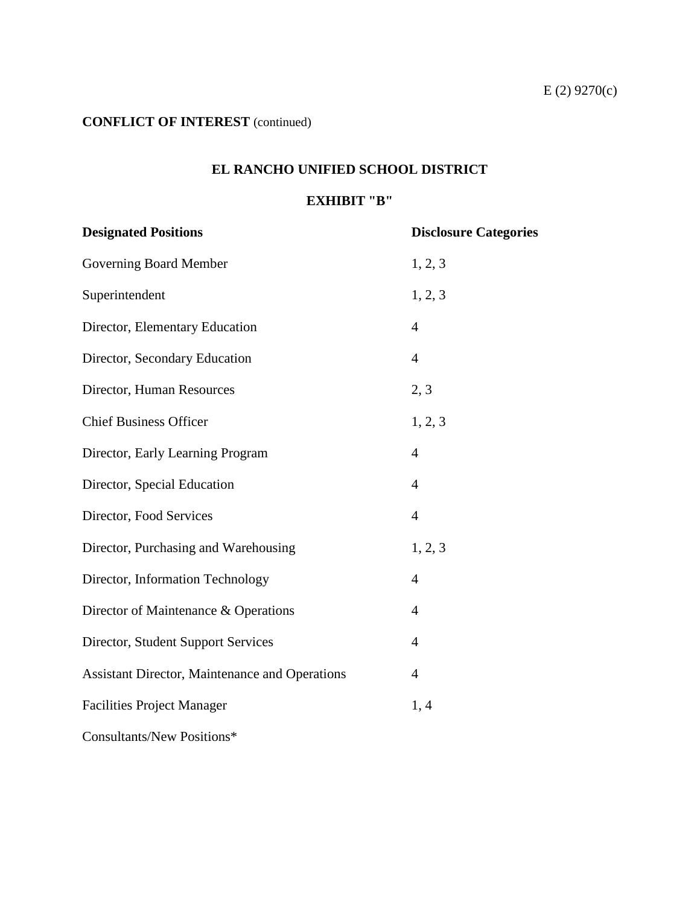## **EL RANCHO UNIFIED SCHOOL DISTRICT**

### **EXHIBIT "B"**

| <b>Designated Positions</b>                           | <b>Disclosure Categories</b> |
|-------------------------------------------------------|------------------------------|
| Governing Board Member                                | 1, 2, 3                      |
| Superintendent                                        | 1, 2, 3                      |
| Director, Elementary Education                        | $\overline{4}$               |
| Director, Secondary Education                         | $\overline{4}$               |
| Director, Human Resources                             | 2, 3                         |
| <b>Chief Business Officer</b>                         | 1, 2, 3                      |
| Director, Early Learning Program                      | $\overline{4}$               |
| Director, Special Education                           | $\overline{4}$               |
| Director, Food Services                               | $\overline{4}$               |
| Director, Purchasing and Warehousing                  | 1, 2, 3                      |
| Director, Information Technology                      | $\overline{4}$               |
| Director of Maintenance & Operations                  | $\overline{4}$               |
| Director, Student Support Services                    | $\overline{4}$               |
| <b>Assistant Director, Maintenance and Operations</b> | $\overline{4}$               |
| <b>Facilities Project Manager</b>                     | 1, 4                         |
| Consultants/New Positions*                            |                              |